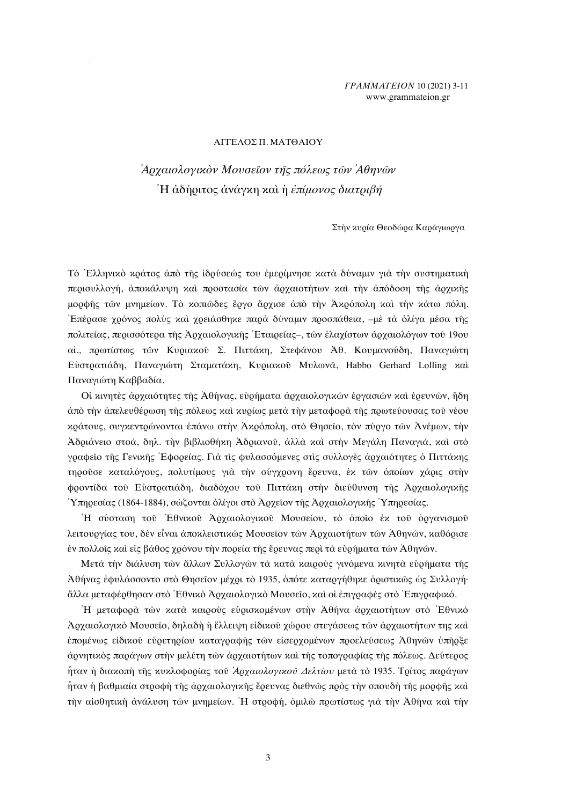## **ΓΡΑΜΜΑΤΕΙΟΝ 10 (2021) 3-11** www.grammateion.gr

#### ΑΓΓΕΛΟΣ Π. ΜΑΤΘΑΙΟΥ

# Αρχαιολογικὸν Μουσεῖον τῆς πόλεως τῶν Ἀθηνῶν Ή ἀδήριτος ἀνάγκη καὶ ἡ ἐπίμονος διατριβή

Στην κυρία Θεοδώρα Καράγιωργα

Τὸ Ελληνικὸ κράτος ἀπὸ τῆς ἱδρύσεώς του ἐμερίμνησε κατὰ δύναμιν γιὰ τὴν συστηματικὴ περισυλλογή, άποκάλυψη και προστασία των αρχαιοτήτων και την απόδοση της αρχικής μορφής των μνημείων. Τὸ κοπιώδες ἔργο ἄρχισε ἀπὸ τὴν Ακρόπολη καὶ τὴν κάτω πόλη. Επέρασε χρόνος πολύς καὶ χρειάσθηκε παρὰ δύναμιν προσπάθεια, –μὲ τὰ ὀλίγα μέσα τῆς πολιτείας, περισσότερα της Αρχαιολογικης Έταιρείας-, των έλαχίστων αρχαιολόγων του 19ου αί., πρωτίστως των Κυριακού Σ. Πιττάκη, Στεφάνου Άθ. Κουμανούδη, Παναγιώτη Εύστρατιάδη, Παναγιώτη Σταματάκη, Κυριακού Μυλωνά, Habbo Gerhard Lolling και Παναγιώτη Καββαδία.

Οί κινητές αρχαιότητες της Αθήνας, ευρήματα αρχαιολογικών εργασιών και ερευνών, ήδη άπό την άπελευθέρωση της πόλεως και κυρίως μετά την μεταφορά της πρωτεύουσας του νέου κράτους, συγκεντρώνονται επάνω στην Άκρόπολη, στο Θησείο, τον πύργο των Ανέμων, την Αδριάνειο στοά, δηλ. την βιβλιοθήκη Αδριανού, άλλα και στην Μεγάλη Παναγιά, και στο γραφείο της Γενικής Έφορείας. Γιά τις φυλασσόμενες στις συλλογες αρχαιότητες ο Πιττάκης τηρούσε καταλόγους, πολυτίμους για την σύγχρονη έρευνα, έκ των όποίων χάρις στην φροντίδα του Ευστρατιάδη, διαδόχου του Πιττάκη στην διεύθυνση της Αρχαιολογικής Υπηρεσίας (1864-1884), σώζονται όλίγοι στό Αρχείον της Αρχαιολογικής Υπηρεσίας.

Η σύσταση του Εθνικου Αργαιολογικου Μουσείου, το όποιο έκ του οργανισμου λειτουργίας του, δεν είναι αποκλειστικώς Μουσείον των Αρχαιοτήτων των Αθηνών, καθόρισε έν πολλοίς και είς βάθος χρόνου την πορεία της έρευνας περι τα ευρήματα των Αθηνών.

Μετά την διάλυση των ἄλλων Συλλογών τὰ κατὰ καιρούς γινόμενα κινητὰ ευρήματα της Αθήνας εφυλάσσοντο στο Θησείον μέχρι το 1935, οπότε καταργήθηκε οριστικώς ως Συλλογή· άλλα μεταφέρθησαν στὸ Εθνικὸ Αρχαιολογικὸ Μουσεῖο, καὶ οἱ ἐπιγραφὲς στὸ Ἐπιγραφικό.

Ή μεταφορά των κατά καιρούς εύρισκομένων στην Αθήνα αρχαιοτήτων στο Εθνικό Αρχαιολογικό Μουσείο, δηλαδή ή έλλειψη είδικού χώρου στεγάσεως των αρχαιοτήτων της και έπομένως είδικού ευρετηρίου καταγραφής των είσερχομένων προελεύσεως Αθηνών υπήρξε άρνητικός παράγων στην μελέτη των αρχαιοτήτων και της τοπογραφίας της πόλεως. Δεύτερος ήταν ή διακοπή της κυκλοφορίας του *Αρχαιολογικού Δελτίου* μετά το 1935. Τρίτος παράγων ήταν ή βαθμιαία στοοφή της άργαιολογικής ἔρευνας διεθνῶς πρὸς την σπουδή της μορφής καὶ την αίσθητική ανάλυση των μνημείων. Η στροφή, όμιλω πρωτίστως για την Αθήνα και την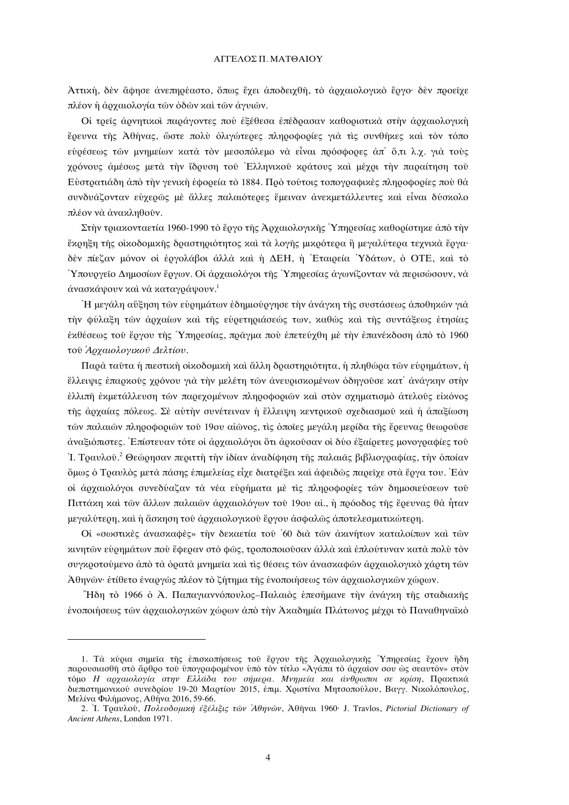## ΑΓΓΕΛΟΣ Π. ΜΑΤΘΑΙΟΥ

Αττική, δεν άφησε ανεπηρέαστο, όπως έγει αποδειγθή, το αργαιολογικό έργο· δεν προείγε πλέον ή άρχαιολογία των όδων και των άγυιων.

Οι τρείς αρνητικοί παράγοντες που εξέθεσα επέδρασαν καθοριστικά στην αρχαιολογική έρευνα της Αθήνας, ώστε πολύ όλιγώτερες πληροφορίες γιά τις συνθηκες και τον τόπο εύρέσεως των μνημείων κατά τον μεσοπόλεμο να είναι πρόσφορες απ' ὄ,τι λ.χ. για τους χρόνους αμέσως μετά την ίδρυση του Ελληνικού κράτους και μέχρι την παραίτηση του Εύστρατιάδη άπό την γενική έφορεία το 1884. Προ τούτοις τοπογραφικές πληροφορίες που θά συνδυάζονταν εύχερώς με άλλες παλαιότερες έμειναν ανεκμετάλλευτες και είναι δύσκολο πλέον νὰ ἀνακληθούν.

Στην τοιακονταετία 1960-1990 το έονο της Αογαιολογικης Υπηρεσίας καθορίστηκε από την έκρηξη της οίκοδομικής δραστηριότητος και τα λογής μικρότερα ή μεγαλύτερα τεχνικα έργα· δέν πίεζαν μόνον οι έργολάβοι άλλά και ή ΔΕΗ, ή Εταιρεία Υδάτων, ο ΟΤΕ, και το Υπουργείο Δημοσίων ἔργων. Οι ἀρχαιολόγοι της Υπηρεσίας ἀγωνίζονταν νὰ περισώσουν, νὰ άνασκάψουν και να καταγράψουν.<sup>1</sup>

Ή μεγάλη αὔξηση τῶν εὐρημάτων ἐδημιούργησε τὴν ἀνάγκη τῆς συστάσεως ἀποθηκῶν γιὰ την φύλαξη των αρχαίων και της ευρετηριάσεως των, καθως και της συντάξεως ετησίας έκθέσεως του έργου της Υπηρεσίας, πράγμα που επετεύχθη με την επανέκδοση από το 1960 τού Αρχαιολογικού Δελτίου.

Παρά ταύτα ή πιεστική οίκοδομική και άλλη δραστηριότητα, ή πληθώρα των ευρημάτων, ή έλλειψις επαρκούς χρόνου για την μελέτη των ανευρισκομένων οδηγούσε κατ' ανάγκην στην έλλιπή έκμετάλλευση τῶν παρεχομένων πληροφοριών και στον σχηματισμο άτελούς εικόνος της αρχαίας πόλεως. Σε αυτήν συνέτειναν η έλλειψη κεντρικού σχεδιασμού και η απαξίωση των παλαιών πληροφοριών του 19ου αίώνος, τις όποιες μεγάλη μερίδα της έρευνας θεωρούσε άναξιόπιστες. Επίστευαν τότε οι άρχαιολόγοι ότι άρκουσαν οι δύο εξαίρετες μονογραφίες του I. Τραυλού.<sup>2</sup> Θεώρησαν περιττή την ιδίαν αναδίφηση της παλαιάς βιβλιογραφίας, την οποίαν δμως ό Τραυλός μετά πάσης έπιμελείας είχε διατρέξει και άφειδώς παρείχε στα έργα του. Έάν οί άργαιολόγοι συνεδύαζαν τὰ νέα εὐοήματα μὲ τὶς πληροφορίες τῶν δημοσιεύσεων του Πιττάχη και των άλλων παλαιών αρχαιολόγων του 19ου αι., ή πρόοδος της έρευνας θα ήταν μεγαλύτερη, και ή άσκηση του αρχαιολογικου έργου ασφαλώς αποτελεσματικώτερη.

Οί «σωστικές άνασκαφές» την δεκαετία τού '60 διά των άκινήτων καταλοίπων και των κινητών εύρημάτων πού έφεραν στό φώς, τροποποιούσαν άλλά και επλούτυναν κατά πολύ τον συγκροτούμενο από τα όρατα μνημεία και τις θέσεις των ανασκαφων αρχαιολογικό χάρτη των Αθηνών· ετίθετο εναργώς πλέον το ζήτημα της ενοποιήσεως των αρχαιολογικών χώρων.

"Ήδη τὸ 1966 ὁ Ά. Παπαγιαννόπουλος-Παλαιὸς ἐπεσήμανε τὴν ἀνάγκη τῆς σταδιακῆς ένοποιήσεως των αρχαιολογικών χώρων από την Ακαδημία Πλάτωνος μέχρι το Παναθηναϊκό

<sup>1.</sup> Τα κύρια σημεία της επισκοπήσεως του έργου της Αρχαιολογικής Υπηρεσίας έχουν ήδη παρουσιασθή στο άρθρο του υπογραφομένου υπό τον τίτλο «Αγάπα το αργαίον σου ως σεαυτόν» στον τόμο Η αργαιολογία στην Ελλάδα του σήμερα. Μνημεία και άνθρωποι σε κρίση, Ποακτικά διεπιστημονικού συνεδρίου 19-20 Μαρτίου 2015, έπιμ. Χριστίνα Μητσοπούλου, Βαγγ. Νικολόπουλος, Μελίνα Φιλήμονος, Αθήνα 2016, 59-66.

<sup>2.</sup> I. Τραυλού, Πολεοδομική εξέλιξις των Αθηνών, Αθήναι 1960 J. Travlos, Pictorial Dictionary of Ancient Athens, London 1971.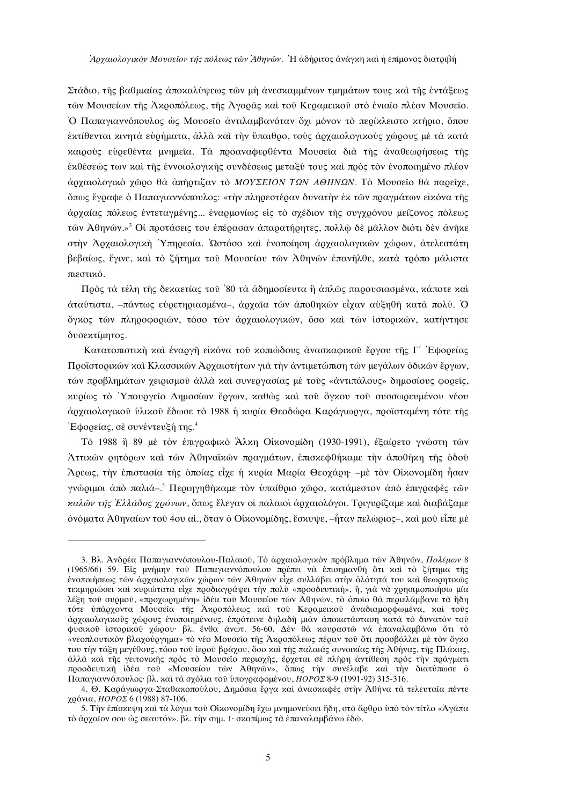Στάδιο, της βαθιμαίας αποκαλύψεως των μη ανεσκαμμένων τμημάτων τους και της εντάξεως των Μουσείων της Ακροπόλεως, της Αγοράς και του Κεραμεικού στο ένιαιο πλέον Μουσείο. Ο Παπαγιαννόπουλος ώς Μουσείο αντιλαμβανόταν όχι μόνον το περίκλειστο κτήριο, όπου εκτίθενται κινητά ευρήματα, άλλά και την ύπαιθρο, τους άρχαιολογικους χώρους με τα κατά καιρούς ευρεθέντα μνημεία. Τα προαναφερθέντα Μουσεία διά της αναθεωρήσεως της έκθέσεώς των και της έννοιολογικης συνδέσεως μεταξύ τους και προς τον ένοποιημένο πλέον άρχαιολογικό χώρο θα απήρτιζαν το ΜΟΥΣΕΙΟΝ ΤΩΝ ΑΘΗΝΩΝ. Το Μουσείο θα παρείχε, όπως έγραφε ο Παπαγιαννόπουλος: «την πληρεστέραν δυνατην έκ των πραγμάτων είκόνα της άρχαίας πόλεως εντεταγμένης... εναρμονίως είς το σχέδιον της συγχρόνου μείζονος πόλεως τών Αθηνών.»<sup>3</sup> Οι προτάσεις του επέρασαν απαρατήρητες, πολλώ δε μάλλον διότι δεν ανήκε στήν Αρχαιολογική Υπηρεσία. Ώστόσο και ένοποίηση αρχαιολογικών χώρων, ατελεστάτη βεβαίως, έγινε, και το ζήτημα τού Μουσείου των Αθηνών επανήλθε, κατά τρόπο μάλιστα πιεστικό.

Ποδς τὰ τέλη τῆς δεκαετίας τοῦ '80 τὰ ἀδημοσίευτα ἢ ἀπλῶς παρουσιασμένα, κάποτε καὶ άταύτιστα, -πάντως εύρετηριασμένα-, άρχαια των άποθηκων είχαν αύξηθή κατά πολύ. Ο όγκος των πληροφοριών, τόσο των αρχαιολογικών, όσο και των ιστορικών, κατήντησε δυσεκτίμητος.

Κατατοπιστική και έναργή εικόνα του κοπώδους ανασκαφικού έργου της Γ΄ Εφορείας Προϊστορικών και Κλασσικών Άρχαιοτήτων για την αντιμετώπιση των μεγάλων όδικών έργων, τών προβλημάτων χειρισμού άλλά και συνεργασίας με τους «αντιπάλους» δημοσίους φορείς, κυρίως τὸ Υπουργείο Δημοσίων ἔργων, καθώς και του ὄγκου του συσσωρευμένου νέου άρχαιολογικού ύλικού έδωσε το 1988 ή κυρία Θεοδώρα Καράγιωργα, προϊσταμένη τότε της Έφορείας, σε συνέντευξή της.<sup>4</sup>

Τὸ 1988 ή 89 με τον επιγραφικό Άλκη Οικονομίδη (1930-1991), εξαίρετο γνώστη των Αττικών ρητόρων και τών Αθηναϊκών πραγμάτων, επισκεφθήκαμε την αποθήκη της όδου Άρεως, την επιστασία της οποίας είχε η κυρία Μαρία Θεοχάρη· -με τον Οικονομίδη ήσαν γνώριμοι άπό παλιά-.<sup>5</sup> Περιηγηθήκαμε τον υπαίθοιο γώρο, κατάμεστον από επιγραφές των καλών της Έλλάδος χρόνων, όπως έλεγαν οι παλαιοί αρχαιολόγοι. Τριγυρίζαμε καί διαβάζαμε όνόματα Άθηναίων του 4ου αί., όταν ο Οίκονομίδης, έσκυψε, –ήταν πελώριος–, και μου είπε με

<sup>3.</sup> Βλ. Ανδρέα Παπαγιαννόπουλου-Παλαιού, Τὸ ἀρχαιολογικὸν πρόβλημα των Αθηνων, Πολέμων 8 (1965/66) 59. Είς μνήμην του Παπαγιαννόπουλου πρέπει να επισημανθή ότι και το ζήτημα της ένοποιήσεως των αρχαιολογικών χώρων των Αθηνών είχε συλλάβει στην ολότητά του και θεωρητικώς τεκμηριώσει και κυριώτατα είχε προδιαγράψει την πολύ «προοδευτική», ή, για να χρησιμοποιήσω μία λέξη του συρμού, «προχωρημένη» ιδέα του Μουσείου των Αθηνών, το όποιο θα περιελάμβανε τα ήδη τότε υπάρχοντα Μουσεία της Ακροπόλεως και του Κεραμεικού αναδιαμορφωμένα, και τούς άρχαιολογικούς χώρους ένοποιημένους, επρότεινε δηλαδή μιάν αποκατάσταση κατά το δυνατόν του φυσικού ιστορικού χώρου· βλ. ένθα άνωτ. 56-60. Δεν θα κουραστώ να επαναλαμβάνω ότι το «νεοπλουτικόν βλαχούργημα» το νέο Μουσείο της Ακροπόλεως πέραν του ότι προσβάλλει με τον όγκο του την τάξη μεγέθους, τόσο του ίερου βράχου, όσο και της παλαιάς συνοικίας της Αθήνας, της Πλάκας, αλλά και της γειτονικής πρός το Μουσείο περιοχής, έρχεται σε πλήρη αντίθεση πρός την πράγματι προοδευτική ιδέα του «Μουσείου των Αθηνών», όπως την συνέλαβε και την διατύπωσε ο Παπαγιαννόπουλος· βλ. και τα σχόλια του υπογραφομένου, ΗΟΡΟΣ 8-9 (1991-92) 315-316.

<sup>4.</sup> Θ. Καράγιωργα-Σταθακοπούλου, Δημόσια έργα και ανασκαφες στην Αθήνα τα τελευταία πέντε γρόνια,  $HOPO\Sigma$  6 (1988) 87-106.

<sup>5.</sup> Την επίσκεψη και τα λόγια του Οικονομίδη έχω μνημονεύσει ήδη, στο άρθρο υπό τον τίτλο «Άγάπα τό άρχαΐον σου ώς σεαυτόν», βλ. την σημ. 1· σκοπίμως τα επαναλαμβάνω εδώ.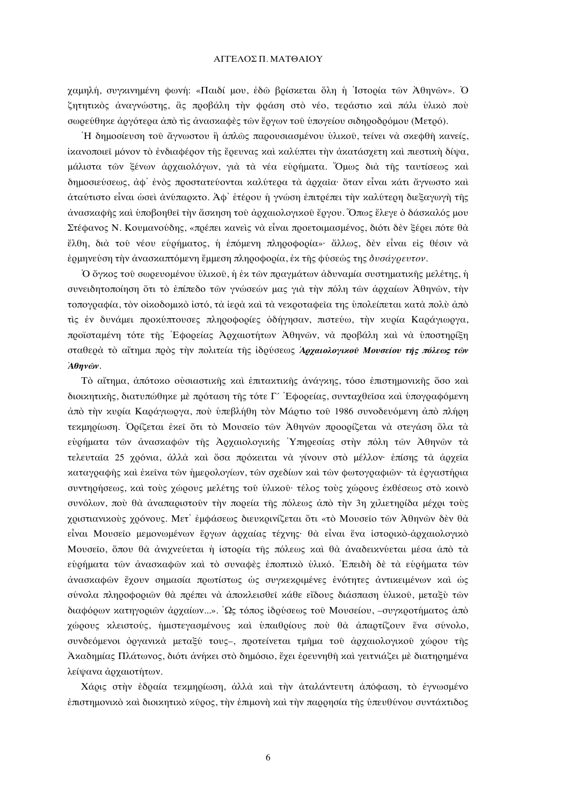## ΑΓΓΕΛΟΣ Π. ΜΑΤΘΑΙΟΥ

γαμηλή, συγκινημένη φωνή: «Παιδί μου, έδω βρίσκεται όλη η Ίστορία των Αθηνών». Ο ζητητικός αναγνώστης, ἃς προβάλη την φράση στο νέο, τεράστιο και πάλι ύλικό πού σωρεύθηκε αργότερα από τις ανασκαφές των έργων του υπογείου σιδηροδρόμου (Μετρό).

Ή δημοσίευση του άγνωστου ή άπλώς παρουσιασμένου ύλικου, τείνει να σκεφθή κανείς, ίκανοποιεί μόνον το ενδιαφέρον της έρευνας και καλύπτει την ακατάσχετη και πιεστική δίψα, μάλιστα των ξένων αρχαιολόγων, για τα νέα ευρήματα. Όμως δια της ταυτίσεως και δημοσιεύσεως, άφ' ένος προστατεύονται καλύτερα τα άρχαια· όταν είναι κάτι άγνωστο και άταύτιστο είναι ώσει άνύπαρκτο. Αφ' έτέρου ή γνώση επιτρέπει την καλύτερη διεξαγωγή της άνασκαφής και υποβοηθεί την άσκηση του άρχαιολογικου έργου. Όπως έλεγε ο δάσκαλός μου Στέφανος Ν. Κουμανούδης, «ποέπει κανείς να είναι ποοετοιμασμένος, διότι δεν ξέρει πότε θα έλθη, διά του νέου ευρήματος, η επόμενη πληροφορία»· άλλως, δεν είναι είς θέσιν να ερμηνεύση την ανασκαπτόμενη έμμεση πληροφορία, έκ της φύσεώς της δυσάγρευτον.

Ο όγκος του σωρευομένου υλικου, ή έκ των πραγμάτων άδυναμία συστηματικής μελέτης, ή συνειδητοποίηση ότι τὸ ἐπίπεδο τῶν γνώσεών μας γιὰ τὴν πόλη τῶν ἀργαίων Ἀθηνῶν, τὴν τοπογραφία, τον οίκοδομικό ίστό, τα ίερα και τα νεκροταφεία της υπολείπεται κατά πολύ από τις έν δυνάμει προκύπτουσες πληροφορίες όδήγησαν, πιστεύω, την κυρία Καράγιωργα, ποσϊσταμένη τότε της Εφορείας Αργαιοτήτων Αθηνών, να προβάλη και να υποστηρίξη σταθερά το αΐτημα πρός την πολιτεία της ίδρύσεως Αρχαιολογικού Μουσείου της πόλεως των  $A\theta\eta\gamma\hat{\omega}\gamma$ .

Τὸ αἴτημα, ἀπότοκο ούσιαστικής και επιτακτικής ανάγκης, τόσο επιστημονικής ὄσο και διοικητικής, διατυπώθηκε με πρόταση της τότε Γ' Εφορείας, συνταχθείσα και υπογραφόμενη άπό την κυρία Καράγιωργα, πού ύπεβλήθη τον Μάρτιο τού 1986 συνοδευόμενη από πλήρη τεκμηρίωση. Ορίζεται έκει ότι το Μουσειο των Αθηνών προορίζεται να στεγάση όλα τα ευρήματα των ανασκαφων της Αργαιολογικής Υπηρεσίας στην πόλη των Αθηνών τα τελευταία 25 χρόνια, άλλά και ὄσα πρόκειται να γίνουν στο μέλλον· επίσης τα αρχεία καταγραφής και έκεινα των ήμερολογίων, των σχεδίων και των φωτογραφιών· τα εργαστήρια συντηρήσεως, και τους γώρους μελέτης του υλικου· τέλος τους γώρους εκθέσεως στο κοινό συνόλων, πού θα αναπαριστούν την πορεία της πόλεως από την 3η χιλιετηρίδα μέχρι τούς γριστιανικούς γρόνους. Μετ' εμφάσεως διευκρινίζεται ότι «το Μουσείο των Αθηνών δεν θα είναι Μουσείο μεμονωμένων έργων άρχαίας τέχνης· θα είναι ένα ιστορικό-άρχαιολογικό Μουσείο, όπου θά άνιχνεύεται ή ιστορία της πόλεως και θά άναδεικνύεται μέσα άπό τά εύρήματα των άνασκαφών και το συναφές έποπτικο ύλικό. Επειδή δε τα ευρήματα των άνασκαφών έχουν σημασία πρωτίστως ως συγκεκριμένες ενότητες αντικειμένων και ως σύνολα πληροφοριών θα πρέπει να αποκλεισθεί κάθε είδους διάσπαση υλικού, μεταξύ τών διαφόρων κατηγοριών άρχαίων...». Ως τόπος ιδρύσεως του Μουσείου, -συγκροτήματος άπό γώρους κλειστούς, ήμιστεγασμένους και υπαιθρίους που θα απαρτίζουν ένα σύνολο, συνδεόμενοι όργανικά μεταξύ τους-, προτείνεται τμήμα του άρχαιολογικου χώρου τής Άκαδημίας Πλάτωνος, διότι άνήκει στο δημόσιο, έχει έρευνηθή και γειτνιάζει με διατηρημένα λείψανα άρχαιοτήτων.

Χάρις στην έδραία τεκμηρίωση, άλλά και την αταλάντευτη απόφαση, το έγνωσμένο επιστημονικό και διοικητικό κύρος, την επιμονή και την παρρησία της υπευθύνου συντάκτιδος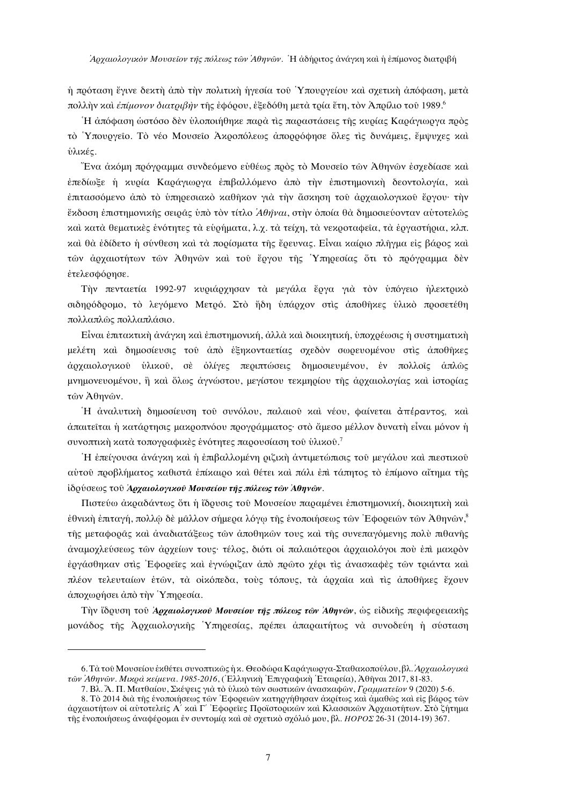ή πρόταση έγινε δεκτή άπό την πολιτική ήγεσία του Υπουργείου και σχετική άπόφαση, μετά πολλήν και επίμονον διατριβήν της εφόρου, εξεδόθη μετά τρία έτη, τον Απρίλιο του 1989.<sup>6</sup>

Η απόφαση ώστόσο δεν ύλοποιήθηκε παρά τις παραστάσεις της κυρίας Καράγιωργα προς τὸ Υπουργείο. Τὸ νέο Μουσείο Άκροπόλεως ἀπορρόφησε ὅλες τις δυνάμεις, ἔμψυχες και ύλικές.

Ένα άκόμη ποόγοαμμα συνδεόμενο εὐθέως ποὸς τὸ Μουσεῖο τῶν Ἀθηνῶν ἐσχεδίασε καὶ έπεδίωξε ή κυρία Καράγιωργα έπιβαλλόμενο άπό την έπιστημονική δεοντολογία, και έπιτασσόμενο άπό το ύπηρεσιακό καθήκον γιά την άσκηση του αρχαιολογικού έργου· την έκδοση επιστημονικής σειράς υπό τον τίτλο Αθήναι, στην όποία θα δημοσιεύονταν αυτοτελώς και κατά θεματικές ένότητες τα ευρήματα. λ.γ. τα τείγη, τα νεκροταφεία, τα έργαστήρια, κλπ. καί θὰ ἐδίδετο ή σύνθεση και τὰ πορίσματα της ἔρευνας. Είναι καίριο πληγμα εις βάρος και τών αρχαιοτήτων τών Αθηνών και του έργου της Υπηρεσίας ότι το πρόγραμμα δεν έτελεσφόρησε.

Την πενταετία 1992-97 κυριάργησαν τα μεγάλα έργα για τον υπόγειο ηλεκτρικό σιδηρόδρομο, το λεγόμενο Μετρό. Στο ήδη υπάρχον στις αποθήκες υλικό προσετέθη πολλαπλώς πολλαπλάσιο.

Εἶναι ἐπιτακτικὴ ἀνάγκη καὶ ἐπιστημονική, ἀλλὰ καὶ διοικητική, ὑπογρέωσις ἡ συστηματικὴ μελέτη και δημοσίευσις του από εξηκονταετίας σχεδόν σωρευομένου στις αποθήκες άρχαιολογικού ύλικού, σε όλίγες περιπτώσεις δημοσιευμένου, έν πολλοίς άπλως μνημονευομένου, ή και όλως άγνώστου, μεγίστου τεκμηρίου της αρχαιολογίας και ιστορίας τών Αθηνών.

Ή αναλυτική δημοσίευση του συνόλου, παλαιού και νέου, φαίνεται απέραντος, και άπαιτείται ή κατάρτησις μακροπνόου προγράμματος· στο άμεσο μέλλον δυνατή είναι μόνον ή συνοπτική κατά τοπογραφικές ένότητες παρουσίαση του υλικού.<sup>7</sup>

Ή έπείγουσα άνάγκη και ή επιβαλλομένη ριζική αντιμετώπισις του μεγάλου και πιεστικού αύτου προβλήματος καθιστά επίκαιρο και θέτει και πάλι επι τάπητος το επίμονο αΐτημα της ίδούσεως του Αργαιολογικού Μουσείου της πόλεως των Αθηνών.

Πιστεύω ανραδάντως ότι ή ίδρυσις του Μουσείου παραμένει επιστημονική, διοικητική και εθνική επιταγή, πολλώ δε μάλλον σήμερα λόγω της ενοποιήσεως των Εφορειών των Αθηνών.<sup>8</sup> της μεταφοράς και αναδιατάξεως των αποθηκών τους και της συνεπανόμενης πολύ πιθανης άναμοχλεύσεως των άρχείων τους· τέλος, διότι οι παλαιότεροι άρχαιολόγοι που επι μακρόν έργάσθηκαν στις Εφορείες και έγνώριζαν άπό πρώτο χέρι τις άνασκαφες των τριάντα και πλέον τελευταίων έτων, τα οικόπεδα, τους τόπους, τα αρχαία και τις αποθήκες έχουν άποχωρήσει άπό την Υπηρεσία.

Την ίδουση του Αρχαιολογικού Μουσείου της πόλεως των Αθηνών, ως είδικης περιφερειακής μονάδος της Αρχαιολογικής Υπηρεσίας, πρέπει απαραιτήτως να συνοδεύη ή σύσταση

<sup>6.</sup> Τὰ του Μουσείου εκθέτει συνοπτικώς η κ. Θεοδώρα Καράγιωργα-Σταθακοπούλου, βλ. Αργαιολογικά των Αθηνών. Μικοά κείμενα. 1985-2016, (Ελληνική Επιγραφική Έταιρεία), Αθήναι 2017, 81-83.

<sup>7.</sup> Βλ. Ά. Π. Ματθαίου, Σκέψεις για το ύλικο των σωστικών ανασκαφών, Γραμματείον 9 (2020) 5-6.

<sup>8.</sup> Το 2014 δια της ενοποιήσεως των Εφορειών κατηργήθησαν ακρίτως και άμαθως και είς βάρος των αρχαιοτήτων οι αυτοτελείς Α' και Γ' Εφορείες Προϊστορικών και Κλασσικών Αρχαιοτήτων. Στο ζήτημα της ένοποιήσεως αναφέρομαι έν συντομία και σε σχετικό σχόλιό μου, βλ. ΗΟΡΟΣ 26-31 (2014-19) 367.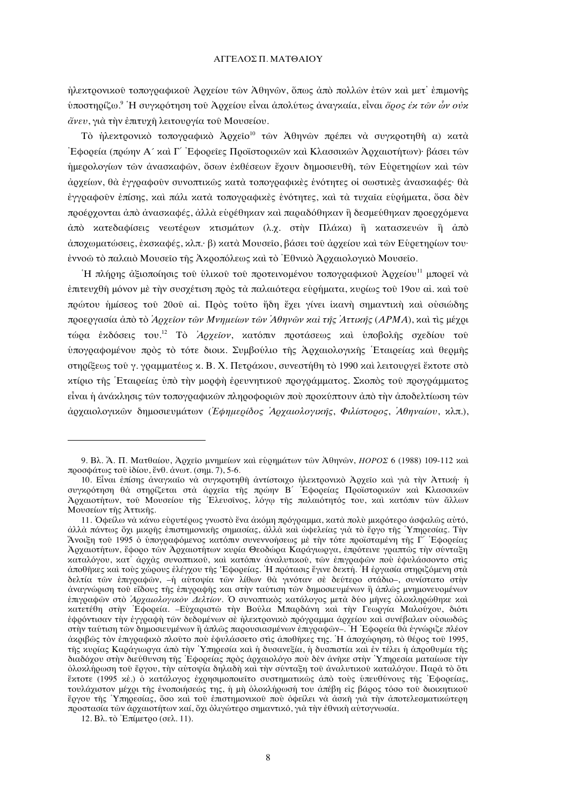ήλεκτρονικού τοπογραφικού Άργείου των Άθηνων, ὅπως ἀπὸ πολλων ἐτων και μετ' ἐπιμονής υποστηρίζω.<sup>9</sup> Η συγκρότηση του Άρχείου είναι απολύτως αναγκαία, είναι *όρος έκ των ών ουκ* άνευ, για την έπιτυχή λειτουργία του Μουσείου.

Τὸ ἠλεκτρονικὸ τοπογραφικὸ Ἀρχείο<sup>ιο</sup> των Αθηνων πρέπει νὰ συγκροτηθή α) κατὰ Έφορεία (πρώην Α΄ και Γ΄ Εφορείες Προϊστορικών και Κλασσικών Άρχαιοτήτων)· βάσει τών ήμερολογίων των ανασκαφών, ὄσων εκθέσεων έχουν δημοσιευθή, των Ευρετηρίων και των άρχείων, θα έγγραφούν συνοπτικώς κατά τοπογραφικές ένότητες οι σωστικές ανασκαφές· θα έγγραφούν έπίσης, και πάλι κατά τοπογραφικές ένότητες, και τα τυγαία ευρήματα, όσα δέν προέρχονται από ανασκαφές, αλλά ευρέθηκαν και παραδόθηκαν η δεσμεύθηκαν προερχόμενα άπό κατεδαφίσεις νεωτέρων κτισμάτων (λ.γ. στην Πλάκα) η κατασκευών η άπό άποχωματώσεις, έκσκαφές, κλπ.· β) κατά Μουσείο, βάσει του άρχείου και των Ευρετηρίων του· έννοω το παλαιό Μουσείο της Ακροπόλεως και το Έθνικο Αρχαιολογικο Μουσείο.

Η πλήρης αξιοποίησις του υλικού του προτεινομένου τοπογραφικού Αρχείου<sup>11</sup> μπορεί να έπιτευγθή μόνον μέ την συσγέτιση ποδς τὰ παλαιότερα ευρήματα, κυρίως του 19ου αί, και του πρώτου ήμίσεος του 20ου αί. Πρός τουτο ήδη έχει γίνει ίκανή σημαντική και ουσιώδης προεργασία από το Αρχείον των Μνημείων των Αθηνών και της Αττικής (ΑΡΜΑ), και τις μέχρι τώρα εκδόσεις του.<sup>12</sup> Το Αργείον, κατόπιν προτάσεως και υποβολής σγεδίου του ύπογραφομένου πρός τὸ τότε διοικ. Συμβούλιο της Αρχαιολογικης Εταιρείας και θερμης στηρίξεως του γ. γραμματέως κ. Β. Χ. Πετράκου, συνεστήθη το 1990 και λειτουργεί έκτοτε στο κτίριο της Εταιρείας υπό την μορφή έρευνητικού προγράμματος. Σκοπός του προγράμματος είναι ή ανάκλησις των τοπογραφικών πληροφοριών που προκύπτουν από την αποδελτίωση των άρχαιολογικών δημοσιευμάτων (Εφημερίδος Άρχαιολογικής, Φιλίστορος, Άθηναίου, κλπ.),

<sup>9.</sup> Βλ. Ά. Π. Ματθαίου, Αρχείο μνημείων και ευρημάτων των Αθηνών, ΗΟΡΟΣ 6 (1988) 109-112 και προσφάτως του ιδίου, ένθ. άνωτ. (σημ. 7), 5-6.

<sup>10.</sup> Είναι επίσης αναγκαίο να συγκροτηθή αντίστοιχο ήλεκτρονικό Αρχείο και για την Αττική ή συγκρότηση θα στηρίζεται στα άρχεια της πρώην Β΄ Εφορείας Προϊστορικών και Κλασσικών Αρχαιοτήτων, του Μουσείου της Ελευσίνος, λόγω της παλαιότητός του, και κατόπιν των άλλων Μουσείων της Αττικής.

<sup>11.</sup> Οφείλω να κάνω ευρυτέρως γνωστο ένα ακόμη πρόγραμμα, κατα πολύ μικρότερο ασφαλώς αυτό, άλλα πάντως όγι μικοής επιστημονικής σημασίας, άλλα και ωφελείας για το έογο της Υπηρεσίας. Την Άνοιξη του 1995 ο υπογραφόμενος κατόπιν συνεννοήσεως με την τότε προϊσταμένη της Γ΄ Εφορείας Αργαιοτήτων, έφορο των Αργαιοτήτων κυρία Θεοδώρα Καράγιωργα, επρότεινε γραπτώς την σύνταξη καταλόγου, κατ' άρχας συνοπικού, και κατόπιν αναλυτικού, των επιγραφών που εφυλάσσοντο στις άποθήκες και τους χώρους έλέγχου της Εφορείας. Η πρότασις έγινε δεκτή. Η εργασία στηριζόμενη στα δελτία των επιγραφών, -ή αυτοψία των λίθων θα γινόταν σε δεύτερο στάδιο-, συνίστατο στήν αναγνώριση του είδους της επιγραφής και στην ταύτιση των δημοσιευμένων ή απλώς μνημονευομένων επιγραφών στο Αρχαιολογικόν Δελτίον. Ο συνοπτικός κατάλογος μετά δύο μήνες ολοκληρώθηκε και κατετέθη στην Εφορεία. -Ευχαριστώ την Βούλα Μπαρδάνη και την Γεωργία Μαλούχου, διότι εφρόντισαν την εγγραφή των δεδομένων σε ήλεκτρονικό πρόγραμμα αρχείου και συνέβαλαν ουσιωδώς στην ταύτιση των δημοσιευμένων η απλώς παρουσιασμένων επιγραφών-. Η Εφορεία θα εγνώριζε πλέον ακριβώς τον επιγραφικό πλούτο που εφυλάσσετο στις αποθήκες της. Η αποχώρηση, το θέρος του 1995, τής κυρίας Καράγιωργα άπό την Υπηρεσία και η δυσανεξία, η δυσπιστία και εν τέλει η απροθυμία της διαδόχου στην διεύθυνση της Εφορείας προς αρχαιολόγο που δεν ανήκε στην Υπηρεσία ματαίωσε την ολοκλήρωση του έργου, την αυτοψία δηλαδή και την σύνταξη του αναλυτικου καταλόγου. Παρα το ότι έχτοτε (1995 χε.) ο κατάλογος εχρησιμοποιείτο συστηματικώς από τους υπευθύνους της Εφορείας. τουλάχιστον μέχρι της ενοποιήσεώς της, η μη ολοκλήρωση του απέβη είς βάρος τόσο του διοικητικού έργου της Υπηρεσίας, όσο και του επιστημονικού που οφείλει να άσκη για την αποτελεσματικώτερη προστασία των αρχαιοτήτων καί, όχι ολιγώτερο σημαντικό, για την εθνική αυτογνωσία.

<sup>12.</sup> Βλ. τὸ Επίμετρο (σελ. 11).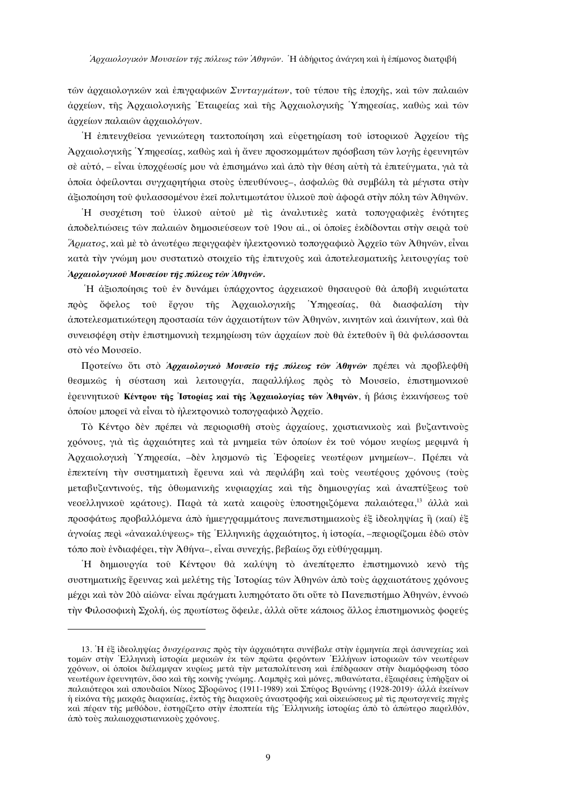των αργαιολογικών και επιγραφικών Συνταγμάτων, του τύπου της επογής, και των παλαιών άρχείων, της Αρχαιολογικής Εταιρείας και της Αρχαιολογικής Υπηρεσίας, καθώς και των άρχείων παλαιών άρχαιολόγων.

Ή επιτευχθείσα γενικώτερη τακτοποίηση και ευρετηρίαση του ιστορικού Αρχείου της Αρχαιολογικής Υπηρεσίας, καθώς και ή άνευ προσκομμάτων πρόσβαση των λογής έρευνητών σὲ αὐτό, – εἶναι ὑπογρέωσίς μου νὰ ἐπισημάνω καὶ ἀπὸ τὴν θέση αὐτὴ τὰ ἐπιτεύγματα, γιὰ τὰ όποια όφείλονται συγχαρητήρια στούς υπευθύνους-, ασφαλώς θα συμβάλη τα μέγιστα στην άξιοποίηση του φυλασσομένου έκει πολυτιμωτάτου ύλικου που άφορα στην πόλη των Αθηνών.

Ή συσχέτιση του υλικου αυτου με τις αναλυτικες κατα τοπογραφικες ενότητες άποδελτιώσεις των παλαιών δημοσιεύσεων του 19ου αί., οι όποιες εκδίδονται στην σειοά του Άρματος, και με το ανωτέρω περιγραφεν ηλεκτρονικό τοπογραφικό Αρχείο των Αθηνών, είναι κατά την γνώμη μου συστατικό στοιχείο της έπιτυχούς και άποτελεσματικής λειτουργίας του Αρχαιολογικού Μουσείου της πόλεως των Αθηνών.

Ή άξιοποίησις του έν δυνάμει υπάργοντος αργειακου θησαυρου θα αποβή κυριώτατα πρός ὄφελος του έργου της Αρχαιολογικής Υπηρεσίας, θὰ διασφαλίση τὴν άποτελεσματικώτερη προστασία των άρχαιοτήτων των Αθηνών, κινητών και άκινήτων, και θα συνεισφέρη στὴν ἐπιστημονιχὴ τεχμηρίωση τῶν ἀργαίων ποὺ θὰ ἐχτεθοῦν ἢ θὰ φυλάσσονται στό νέο Μουσείο.

Προτείνω ὅτι στὸ Αρχαιολογικὸ Μουσείο της πόλεως των Αθηνών πρέπει νὰ προβλεφθή θεσμικώς ή σύσταση και λειτουργία, παραλλήλως πρός το Μουσείο, επιστημονικού έρευνητικού Κέντρου της Ίστορίας και της Αρχαιολογίας των Αθηνών, ή βάσις εκκινήσεως του όποίου μπορεί να είναι το ήλεκτρονικό τοπογραφικό Άρχειο.

Τὸ Κέντρο δεν πρέπει νὰ περιορισθή στους άρχαίους, χριστιανικους και βυζαντινους γρόνους, για τις αργαιότητες και τα μνημεία των όποίων έκ του νόμου κυρίως μεριμνα ή Αργαιολογική Υπηρεσία, -δεν λησμονώ τις Εφορείες νεωτέρων μνημείων-. Πρέπει να έπεκτείνη την συστηματική έρευνα και να περιλάβη και τους νεωτέρους γρόνους (τους μεταβυζαντινούς, της όθωμανικής κυριαργίας και της δημιουργίας και αναπτύξεως του νεοελληνικού κράτους). Παρά τα κατά καιρούς υποστηριζόμενα παλαιότερα.<sup>13</sup> άλλα καί προσφάτως προβαλλόμενα από ημιεγγραμμάτους πανεπιστημιακούς εξ ίδεοληψίας ή (καί) εξ άγνοίας πεοί «άνακαλύψεως» της Έλληνικής αογαιότητος, η ιστορία, -περιορίζομαι έδώ στον τόπο πού ένδιαφέρει, την Αθήνα-, είναι συνεχής, βεβαίως όχι εύθύγραμμη.

Η δημιουργία του Κέντρου θά καλύψη τὸ ἀνεπίτρεπτο ἐπιστημονικὸ κενὸ τῆς συστηματικής έρευνας και μελέτης της Ιστορίας των Αθηνών από τους αργαιοτάτους χρόνους μέχρι και τον 20ο αίωνα· είναι πράγματι λυπηρότατο ότι ούτε το Πανεπιστήμιο Άθηνων, έννοω τήν Φιλοσοφική Σχολή, ώς πρωτίστως ὄφειλε, άλλά ούτε κάποιος άλλος επιστημονικός φορεύς

<sup>13.</sup> Η έξ ιδεοληψίας δυσχέρανσις πρός την αρχαιότητα συνέβαλε στην έρμηνεία περι ασυνεχείας και τομών στην Ελληνική ιστορία μερικών έκ των πρώτα φερόντων Ελλήνων ιστορικών των νεωτέρων γρόνων, οι οποίοι διέλαμψαν κυρίως μετά την μεταπολίτευση και επέδρασαν στην διαμόρφωση τόσο νεωτέρων ερευνητών, όσο και της κοινής γνώμης. Λαμπρες και μόνες, πιθανώτατα, εξαιρέσεις υπηρξαν οι παλαιότεροι και σπουδαΐοι Νίκος Σβορώνος (1911-1989) και Σπύρος Βρυώνης (1928-2019) αλλά εκείνων ή είκόνα της μακράς διαρκείας, έκτός της διαρκούς άναστροφής και οικειώσεως με τις πρωτογενείς πηγές και πέραν της μεθόδου, εστηρίζετο στην εποπτεία της Ελληνικής ιστορίας από το απώτερο παρελθόν, άπό τους παλαιοχριστιανικούς χρόνους.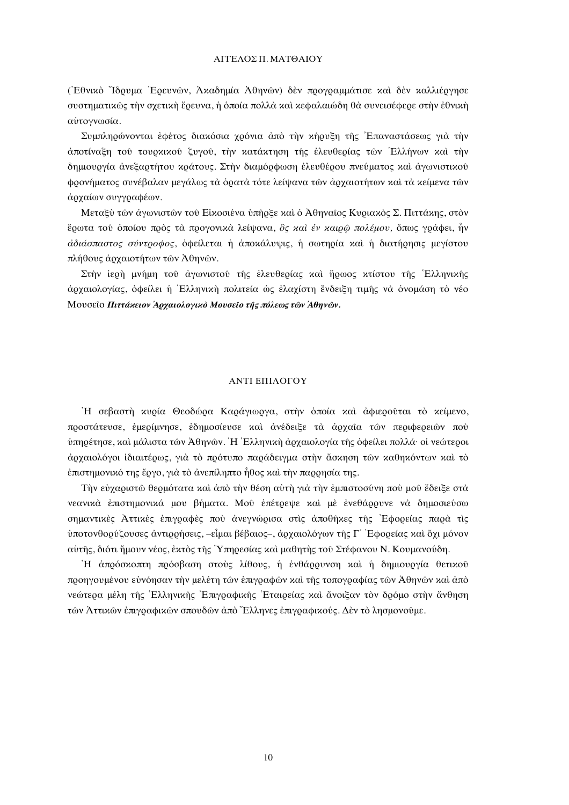### ΑΓΓΕΛΟΣ Π. ΜΑΤΘΑΙΟΥ

(Εθνικό "Ίδουμα Ερευνών, Ακαδημία Άθηνών) δεν προγραμμάτισε και δεν καλλιέργησε συστηματικώς την σχετική έρευνα, ή όποία πολλά και κεφαλαιώδη θα συνεισέφερε στην εθνική αύτογνωσία.

Συμπληρώνονται έφέτος διακόσια χρόνια άπό την κήρυξη της Επαναστάσεως γιά την άποτίναξη τού τουρκικού ζυγού, την κατάκτηση της έλευθερίας των Ελλήνων και την δημιουργία ανεξαρτήτου κράτους. Στην διαμόρφωση ελευθέρου πνεύματος και αγωνιστικού φρονήματος συνέβαλαν μεγάλως τα όρατα τότε λείψανα των αρχαιοτήτων και τα κείμενα των άρχαίων συγγραφέων.

Μεταξύ των άγωνιστών του Είκοσιένα υπήρξε και ο Αθηναίος Κυριακός Σ. Πιττάκης, στον έρωτα του όποίου πρός τα προγονικά λείψανα, δς και έν καιρώ πολέμου, όπως γράφει, ήν αδιάσπαστος σύντροφος, όφείλεται ή αποχάλυψις, ή σωτηρία και ή διατήρησις μεγίστου πλήθους άρχαιοτήτων των Άθηνων.

Στην ίερη μνήμη του αγωνιστου της έλευθερίας και ήρωος κτίστου της Ελληνικής άργαιολογίας, όφείλει ή Έλληνική πολιτεία ώς έλαγίστη ένδειξη τιμής νὰ ὀνομάση τὸ νέο Μουσείο Πιττάκειον Αρχαιολογικό Μουσείο της πόλεως των Αθηνών.

# ΑΝΤΙ ΕΠΙΛΟΓΟΥ

Ή σεβαστή κυρία Θεοδώρα Καράγιωργα, στην όποία και αφιερούται το κείμενο, προστάτευσε, έμερίμνησε, έδημοσίευσε και ανέδειξε τα αρχαία των περιφερειών που υπηρέτησε, και μάλιστα των Αθηνών. Η Ελληνική αρχαιολογία της οφείλει πολλά· οι νεώτεροι άρχαιολόγοι ιδιαιτέρως, γιά το πρότυπο παράδειγμα στην άσκηση των καθηκόντων και το έπιστημονικό της έργο, για το ανεπίληπτο ήθος και την παρρησία της.

Την εύγαριστώ θερμότατα και άπο την θέση αύτη για την έμπιστοσύνη που μου έδειξε στα νεανικά επιστημονικά μου βήματα. Μού επέτρεψε και με ενεθάρρυνε να δημοσιεύσω σημαντικές Αττικές έπιγραφές πού άνεγνώρισα στις άποθήκες της Εφορείας παρά τις ύποτονθοούζουσες άντιοοήσεις, -είμαι βέβαιος-, άρχαιολόγων της Γ΄ Εφορείας και όχι μόνον αύτης, διότι ήμουν νέος, έκτος της Υπηρεσίας και μαθητης του Στέφανου Ν. Κουμανούδη.

Η απρόσκοπτη πρόσβαση στούς λίθους, ή ενθάρρυνση και ή δημιουργία θετικού προηγουμένου εύνόησαν την μελέτη των επιγραφων και της τοπογραφίας των Αθηνων και άπο νεώτερα μέλη της Ελληνικής Επιγραφικής Εταιρείας και άνοιξαν τον δρόμο στην άνθηση των Αττικών επιγραφικών σπουδών από Έλληνες επιγραφικούς. Δεν το λησμονούμε.